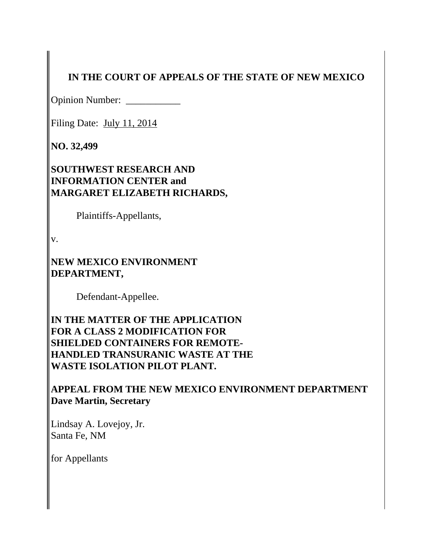# **IN THE COURT OF APPEALS OF THE STATE OF NEW MEXICO**

Opinion Number: \_\_\_\_\_\_\_\_\_\_\_\_

Filing Date: July 11, 2014

**NO. 32,499**

**SOUTHWEST RESEARCH AND INFORMATION CENTER and MARGARET ELIZABETH RICHARDS,**

Plaintiffs-Appellants,

v.

**NEW MEXICO ENVIRONMENT DEPARTMENT,**

Defendant-Appellee.

**IN THE MATTER OF THE APPLICATION FOR A CLASS 2 MODIFICATION FOR SHIELDED CONTAINERS FOR REMOTE-HANDLED TRANSURANIC WASTE AT THE WASTE ISOLATION PILOT PLANT.**

**APPEAL FROM THE NEW MEXICO ENVIRONMENT DEPARTMENT Dave Martin, Secretary**

Lindsay A. Lovejoy, Jr. Santa Fe, NM

for Appellants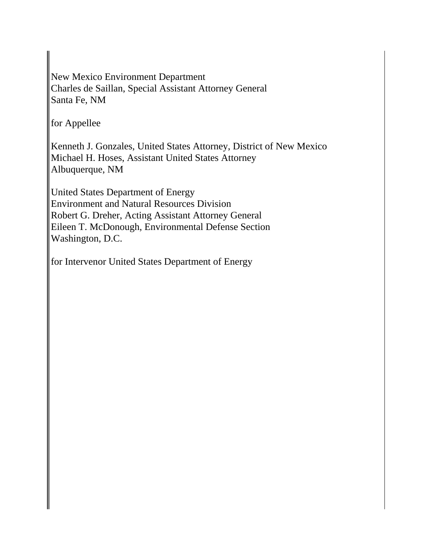New Mexico Environment Department Charles de Saillan, Special Assistant Attorney General Santa Fe, NM

for Appellee

Kenneth J. Gonzales, United States Attorney, District of New Mexico Michael H. Hoses, Assistant United States Attorney Albuquerque, NM

United States Department of Energy Environment and Natural Resources Division Robert G. Dreher, Acting Assistant Attorney General Eileen T. McDonough, Environmental Defense Section Washington, D.C.

for Intervenor United States Department of Energy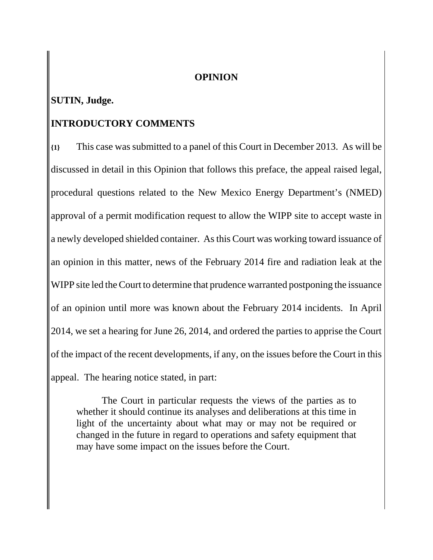#### **OPINION**

## **SUTIN, Judge.**

## **INTRODUCTORY COMMENTS**

**{1}** This case was submitted to a panel of this Court in December 2013. As will be discussed in detail in this Opinion that follows this preface, the appeal raised legal, procedural questions related to the New Mexico Energy Department's (NMED) approval of a permit modification request to allow the WIPP site to accept waste in a newly developed shielded container. As this Court was working toward issuance of an opinion in this matter, news of the February 2014 fire and radiation leak at the WIPP site led the Court to determine that prudence warranted postponing the issuance of an opinion until more was known about the February 2014 incidents. In April 2014, we set a hearing for June 26, 2014, and ordered the parties to apprise the Court of the impact of the recent developments, if any, on the issues before the Court in this appeal. The hearing notice stated, in part:

The Court in particular requests the views of the parties as to whether it should continue its analyses and deliberations at this time in light of the uncertainty about what may or may not be required or changed in the future in regard to operations and safety equipment that may have some impact on the issues before the Court.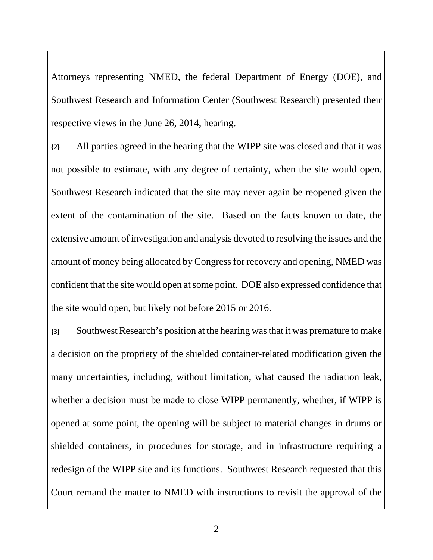Attorneys representing NMED, the federal Department of Energy (DOE), and Southwest Research and Information Center (Southwest Research) presented their respective views in the June 26, 2014, hearing.

**{2}** All parties agreed in the hearing that the WIPP site was closed and that it was not possible to estimate, with any degree of certainty, when the site would open. Southwest Research indicated that the site may never again be reopened given the extent of the contamination of the site. Based on the facts known to date, the extensive amount of investigation and analysis devoted to resolving the issues and the amount of money being allocated by Congress for recovery and opening, NMED was confident that the site would open at some point. DOE also expressed confidence that the site would open, but likely not before 2015 or 2016.

**{3}** Southwest Research's position at the hearing was that it was premature to make a decision on the propriety of the shielded container-related modification given the many uncertainties, including, without limitation, what caused the radiation leak, whether a decision must be made to close WIPP permanently, whether, if WIPP is opened at some point, the opening will be subject to material changes in drums or shielded containers, in procedures for storage, and in infrastructure requiring a redesign of the WIPP site and its functions. Southwest Research requested that this Court remand the matter to NMED with instructions to revisit the approval of the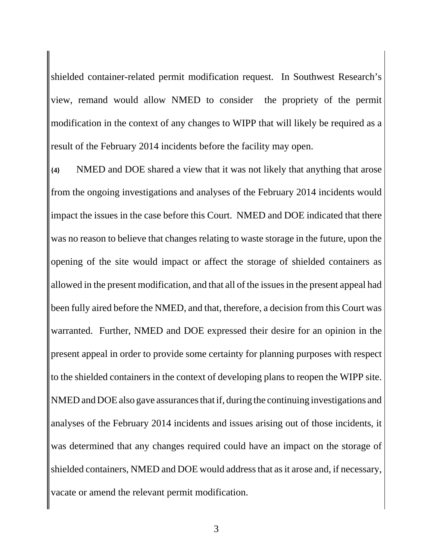shielded container-related permit modification request. In Southwest Research's view, remand would allow NMED to consider the propriety of the permit modification in the context of any changes to WIPP that will likely be required as a result of the February 2014 incidents before the facility may open.

**{4}** NMED and DOE shared a view that it was not likely that anything that arose from the ongoing investigations and analyses of the February 2014 incidents would impact the issues in the case before this Court. NMED and DOE indicated that there was no reason to believe that changes relating to waste storage in the future, upon the opening of the site would impact or affect the storage of shielded containers as allowed in the present modification, and that all of the issues in the present appeal had been fully aired before the NMED, and that, therefore, a decision from this Court was warranted. Further, NMED and DOE expressed their desire for an opinion in the present appeal in order to provide some certainty for planning purposes with respect to the shielded containers in the context of developing plans to reopen the WIPP site. NMED and DOE also gave assurances that if, during the continuing investigations and analyses of the February 2014 incidents and issues arising out of those incidents, it was determined that any changes required could have an impact on the storage of shielded containers, NMED and DOE would address that as it arose and, if necessary, vacate or amend the relevant permit modification.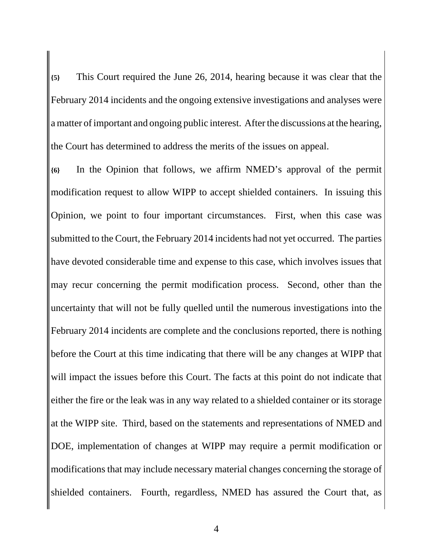**{5}** This Court required the June 26, 2014, hearing because it was clear that the February 2014 incidents and the ongoing extensive investigations and analyses were a matter of important and ongoing public interest. After the discussions at the hearing, the Court has determined to address the merits of the issues on appeal.

**{6}** In the Opinion that follows, we affirm NMED's approval of the permit modification request to allow WIPP to accept shielded containers. In issuing this Opinion, we point to four important circumstances. First, when this case was submitted to the Court, the February 2014 incidents had not yet occurred. The parties have devoted considerable time and expense to this case, which involves issues that may recur concerning the permit modification process. Second, other than the uncertainty that will not be fully quelled until the numerous investigations into the February 2014 incidents are complete and the conclusions reported, there is nothing before the Court at this time indicating that there will be any changes at WIPP that will impact the issues before this Court. The facts at this point do not indicate that either the fire or the leak was in any way related to a shielded container or its storage at the WIPP site. Third, based on the statements and representations of NMED and DOE, implementation of changes at WIPP may require a permit modification or modifications that may include necessary material changes concerning the storage of shielded containers. Fourth, regardless, NMED has assured the Court that, as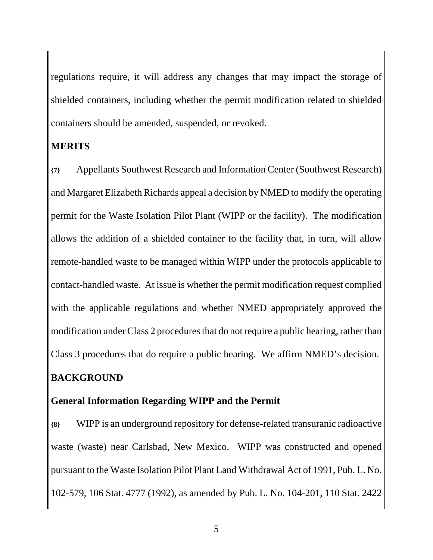regulations require, it will address any changes that may impact the storage of shielded containers, including whether the permit modification related to shielded containers should be amended, suspended, or revoked.

## **MERITS**

**{7}** Appellants Southwest Research and Information Center (Southwest Research) and Margaret Elizabeth Richards appeal a decision by NMED to modify the operating permit for the Waste Isolation Pilot Plant (WIPP or the facility). The modification allows the addition of a shielded container to the facility that, in turn, will allow remote-handled waste to be managed within WIPP under the protocols applicable to contact-handled waste. At issue is whether the permit modification request complied with the applicable regulations and whether NMED appropriately approved the modification under Class 2 procedures that do not require a public hearing, rather than Class 3 procedures that do require a public hearing. We affirm NMED's decision. **BACKGROUND**

## **General Information Regarding WIPP and the Permit**

**{8}** WIPP is an underground repository for defense-related transuranic radioactive waste (waste) near Carlsbad, New Mexico. WIPP was constructed and opened pursuant to the Waste Isolation Pilot Plant Land Withdrawal Act of 1991, Pub. L. No. 102-579, 106 Stat. 4777 (1992), as amended by Pub. L. No. 104-201, 110 Stat. 2422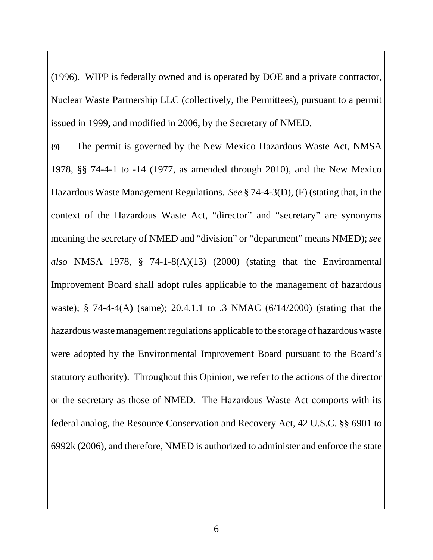(1996). WIPP is federally owned and is operated by DOE and a private contractor, Nuclear Waste Partnership LLC (collectively, the Permittees), pursuant to a permit issued in 1999, and modified in 2006, by the Secretary of NMED.

**{9}** The permit is governed by the New Mexico Hazardous Waste Act, NMSA 1978, §§ 74-4-1 to -14 (1977, as amended through 2010), and the New Mexico Hazardous Waste Management Regulations. *See* § 74-4-3(D), (F) (stating that, in the context of the Hazardous Waste Act, "director" and "secretary" are synonyms meaning the secretary of NMED and "division" or "department" means NMED); *see also* NMSA 1978, § 74-1-8(A)(13) (2000) (stating that the Environmental Improvement Board shall adopt rules applicable to the management of hazardous waste); § 74-4-4(A) (same); 20.4.1.1 to .3 NMAC (6/14/2000) (stating that the hazardous waste management regulations applicable to the storage of hazardous waste were adopted by the Environmental Improvement Board pursuant to the Board's statutory authority). Throughout this Opinion, we refer to the actions of the director or the secretary as those of NMED. The Hazardous Waste Act comports with its federal analog, the Resource Conservation and Recovery Act, 42 U.S.C. §§ 6901 to 6992k (2006), and therefore, NMED is authorized to administer and enforce the state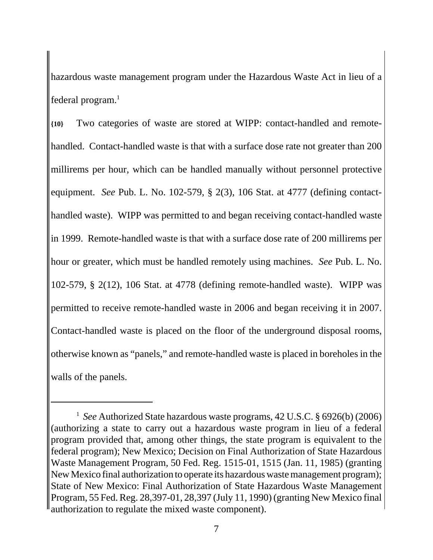hazardous waste management program under the Hazardous Waste Act in lieu of a federal program. $<sup>1</sup>$ </sup>

**{10}** Two categories of waste are stored at WIPP: contact-handled and remotehandled. Contact-handled waste is that with a surface dose rate not greater than 200 millirems per hour, which can be handled manually without personnel protective equipment. *See* Pub. L. No. 102-579, § 2(3), 106 Stat. at 4777 (defining contacthandled waste). WIPP was permitted to and began receiving contact-handled waste in 1999. Remote-handled waste is that with a surface dose rate of 200 millirems per hour or greater, which must be handled remotely using machines. *See* Pub. L. No. 102-579, § 2(12), 106 Stat. at 4778 (defining remote-handled waste). WIPP was permitted to receive remote-handled waste in 2006 and began receiving it in 2007. Contact-handled waste is placed on the floor of the underground disposal rooms, otherwise known as "panels," and remote-handled waste is placed in boreholes in the walls of the panels.

<sup>&</sup>lt;sup>1</sup> See Authorized State hazardous waste programs, 42 U.S.C. § 6926(b) (2006) (authorizing a state to carry out a hazardous waste program in lieu of a federal program provided that, among other things, the state program is equivalent to the federal program); New Mexico; Decision on Final Authorization of State Hazardous Waste Management Program, 50 Fed. Reg. 1515-01, 1515 (Jan. 11, 1985) (granting New Mexico final authorization to operate its hazardous waste management program); State of New Mexico: Final Authorization of State Hazardous Waste Management Program, 55 Fed. Reg. 28,397-01, 28,397 (July 11, 1990) (granting New Mexico final authorization to regulate the mixed waste component).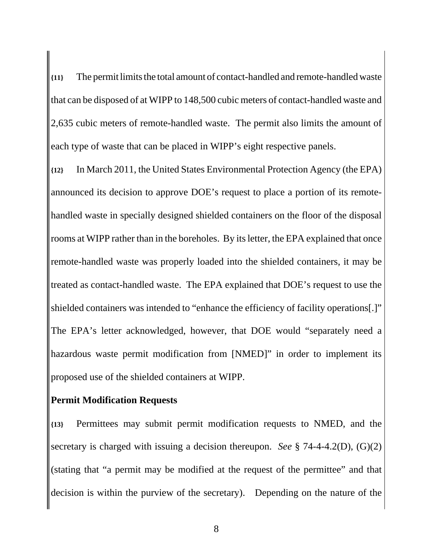**{11}** The permit limits the total amount of contact-handled and remote-handled waste that can be disposed of at WIPP to 148,500 cubic meters of contact-handled waste and 2,635 cubic meters of remote-handled waste. The permit also limits the amount of each type of waste that can be placed in WIPP's eight respective panels.

**{12}** In March 2011, the United States Environmental Protection Agency (the EPA) announced its decision to approve DOE's request to place a portion of its remotehandled waste in specially designed shielded containers on the floor of the disposal rooms at WIPP rather than in the boreholes. By its letter, the EPA explained that once remote-handled waste was properly loaded into the shielded containers, it may be treated as contact-handled waste. The EPA explained that DOE's request to use the shielded containers was intended to "enhance the efficiency of facility operations[.]" The EPA's letter acknowledged, however, that DOE would "separately need a hazardous waste permit modification from [NMED]" in order to implement its proposed use of the shielded containers at WIPP.

#### **Permit Modification Requests**

**{13}** Permittees may submit permit modification requests to NMED, and the secretary is charged with issuing a decision thereupon. *See* § 74-4-4.2(D), (G)(2) (stating that "a permit may be modified at the request of the permittee" and that decision is within the purview of the secretary). Depending on the nature of the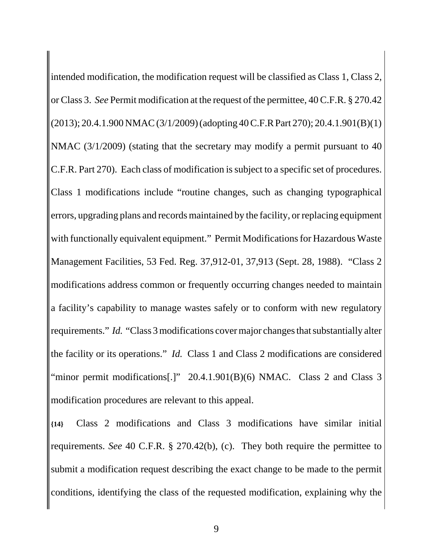intended modification, the modification request will be classified as Class 1, Class 2, or Class 3. *See* Permit modification at the request of the permittee, 40 C.F.R. § 270.42 (2013); 20.4.1.900 NMAC (3/1/2009) (adopting 40 C.F.R Part 270); 20.4.1.901(B)(1) NMAC (3/1/2009) (stating that the secretary may modify a permit pursuant to 40 C.F.R. Part 270). Each class of modification is subject to a specific set of procedures. Class 1 modifications include "routine changes, such as changing typographical errors, upgrading plans and records maintained by the facility, or replacing equipment with functionally equivalent equipment." Permit Modifications for Hazardous Waste Management Facilities, 53 Fed. Reg. 37,912-01, 37,913 (Sept. 28, 1988). "Class 2 modifications address common or frequently occurring changes needed to maintain a facility's capability to manage wastes safely or to conform with new regulatory requirements." *Id.* "Class 3 modifications cover major changes that substantially alter the facility or its operations." *Id.* Class 1 and Class 2 modifications are considered "minor permit modifications[.]" 20.4.1.901(B)(6) NMAC. Class 2 and Class 3 modification procedures are relevant to this appeal.

**{14}** Class 2 modifications and Class 3 modifications have similar initial requirements. *See* 40 C.F.R. § 270.42(b), (c). They both require the permittee to submit a modification request describing the exact change to be made to the permit conditions, identifying the class of the requested modification, explaining why the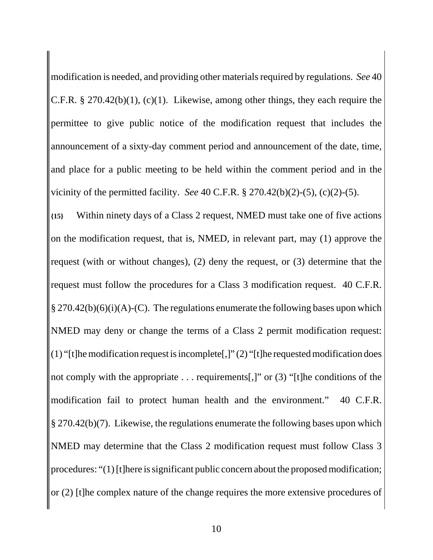modification is needed, and providing other materials required by regulations. *See* 40 C.F.R. § 270.42(b)(1), (c)(1). Likewise, among other things, they each require the permittee to give public notice of the modification request that includes the announcement of a sixty-day comment period and announcement of the date, time, and place for a public meeting to be held within the comment period and in the vicinity of the permitted facility. *See* 40 C.F.R. § 270.42(b)(2)-(5), (c)(2)-(5).

**{15}** Within ninety days of a Class 2 request, NMED must take one of five actions on the modification request, that is, NMED, in relevant part, may (1) approve the request (with or without changes), (2) deny the request, or (3) determine that the request must follow the procedures for a Class 3 modification request. 40 C.F.R.  $\S 270.42(b)(6)(i)(A)-(C)$ . The regulations enumerate the following bases upon which NMED may deny or change the terms of a Class 2 permit modification request: (1) "[t]he modification request is incomplete[,]" (2) "[t]he requested modification does not comply with the appropriate . . . requirements[,]" or (3) "[t]he conditions of the modification fail to protect human health and the environment." 40 C.F.R. § 270.42(b)(7). Likewise, the regulations enumerate the following bases upon which NMED may determine that the Class 2 modification request must follow Class 3 procedures: "(1) [t]here is significant public concern about the proposed modification; or (2) [t]he complex nature of the change requires the more extensive procedures of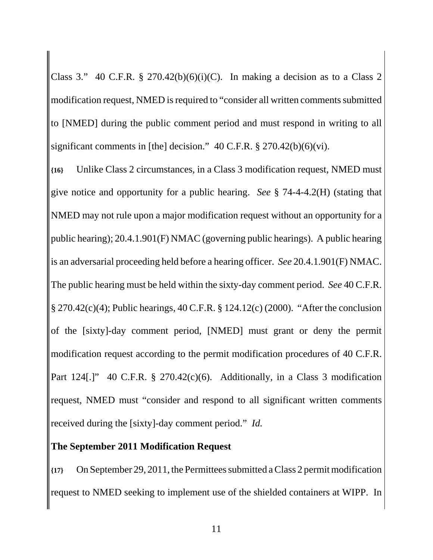Class 3." 40 C.F.R. § 270.42(b)(6)(i)(C). In making a decision as to a Class 2 modification request, NMED is required to "consider all written comments submitted to [NMED] during the public comment period and must respond in writing to all significant comments in [the] decision." 40 C.F.R. § 270.42(b)(6)(vi).

**{16}** Unlike Class 2 circumstances, in a Class 3 modification request, NMED must give notice and opportunity for a public hearing. *See* § 74-4-4.2(H) (stating that NMED may not rule upon a major modification request without an opportunity for a public hearing); 20.4.1.901(F) NMAC (governing public hearings). A public hearing is an adversarial proceeding held before a hearing officer. *See* 20.4.1.901(F) NMAC. The public hearing must be held within the sixty-day comment period. *See* 40 C.F.R. § 270.42(c)(4); Public hearings, 40 C.F.R. § 124.12(c) (2000). "After the conclusion of the [sixty]-day comment period, [NMED] must grant or deny the permit modification request according to the permit modification procedures of 40 C.F.R. Part 124[.]" 40 C.F.R. § 270.42(c)(6). Additionally, in a Class 3 modification request, NMED must "consider and respond to all significant written comments received during the [sixty]-day comment period." *Id.*

# **The September 2011 Modification Request**

**{17}** On September 29, 2011, the Permittees submitted a Class 2 permit modification request to NMED seeking to implement use of the shielded containers at WIPP. In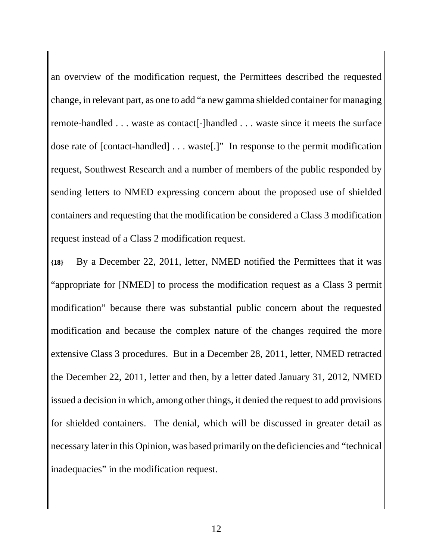an overview of the modification request, the Permittees described the requested change, in relevant part, as one to add "a new gamma shielded container for managing remote-handled . . . waste as contact[-]handled . . . waste since it meets the surface dose rate of [contact-handled] . . . waste[.]" In response to the permit modification request, Southwest Research and a number of members of the public responded by sending letters to NMED expressing concern about the proposed use of shielded containers and requesting that the modification be considered a Class 3 modification request instead of a Class 2 modification request.

**{18}** By a December 22, 2011, letter, NMED notified the Permittees that it was "appropriate for [NMED] to process the modification request as a Class 3 permit modification" because there was substantial public concern about the requested modification and because the complex nature of the changes required the more extensive Class 3 procedures. But in a December 28, 2011, letter, NMED retracted the December 22, 2011, letter and then, by a letter dated January 31, 2012, NMED issued a decision in which, among other things, it denied the request to add provisions for shielded containers. The denial, which will be discussed in greater detail as necessary later in this Opinion, was based primarily on the deficiencies and "technical inadequacies" in the modification request.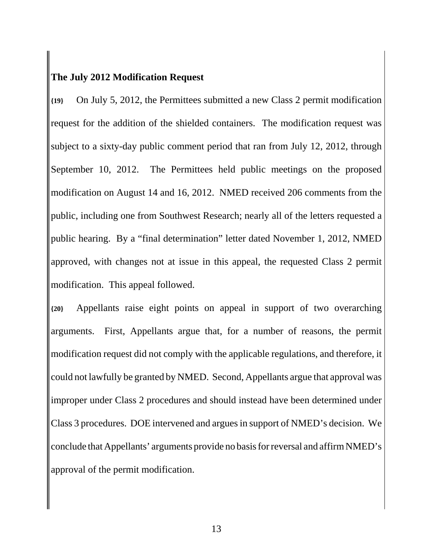# **The July 2012 Modification Request**

**{19}** On July 5, 2012, the Permittees submitted a new Class 2 permit modification request for the addition of the shielded containers. The modification request was subject to a sixty-day public comment period that ran from July 12, 2012, through September 10, 2012. The Permittees held public meetings on the proposed modification on August 14 and 16, 2012. NMED received 206 comments from the public, including one from Southwest Research; nearly all of the letters requested a public hearing. By a "final determination" letter dated November 1, 2012, NMED approved, with changes not at issue in this appeal, the requested Class 2 permit modification. This appeal followed.

**{20}** Appellants raise eight points on appeal in support of two overarching arguments. First, Appellants argue that, for a number of reasons, the permit modification request did not comply with the applicable regulations, and therefore, it could not lawfully be granted by NMED. Second, Appellants argue that approval was improper under Class 2 procedures and should instead have been determined under Class 3 procedures. DOE intervened and argues in support of NMED's decision. We conclude that Appellants' arguments provide no basis for reversal and affirm NMED's approval of the permit modification.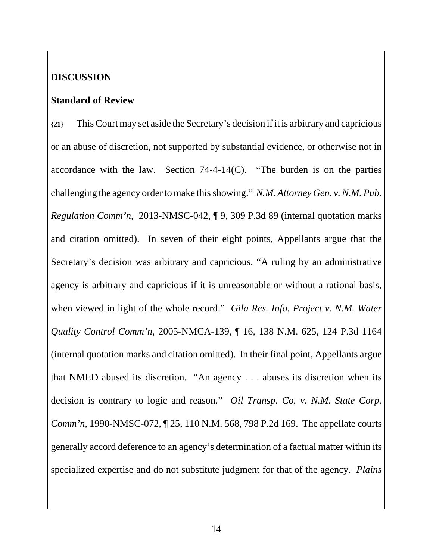# **DISCUSSION**

#### **Standard of Review**

**{21}** This Court may set aside the Secretary's decision if it is arbitrary and capricious or an abuse of discretion, not supported by substantial evidence, or otherwise not in accordance with the law. Section  $74-4-14(C)$ . "The burden is on the parties challenging the agency order to make this showing." *N.M. Attorney Gen. v. N.M. Pub. Regulation Comm'n*, 2013-NMSC-042, ¶ 9, 309 P.3d 89 (internal quotation marks and citation omitted). In seven of their eight points, Appellants argue that the Secretary's decision was arbitrary and capricious. "A ruling by an administrative agency is arbitrary and capricious if it is unreasonable or without a rational basis, when viewed in light of the whole record." *Gila Res. Info. Project v. N.M. Water Quality Control Comm'n*, 2005-NMCA-139, ¶ 16, 138 N.M. 625, 124 P.3d 1164 (internal quotation marks and citation omitted). In their final point, Appellants argue that NMED abused its discretion. "An agency . . . abuses its discretion when its decision is contrary to logic and reason." *Oil Transp. Co. v. N.M. State Corp. Comm'n*, 1990-NMSC-072, ¶ 25, 110 N.M. 568, 798 P.2d 169. The appellate courts generally accord deference to an agency's determination of a factual matter within its specialized expertise and do not substitute judgment for that of the agency. *Plains*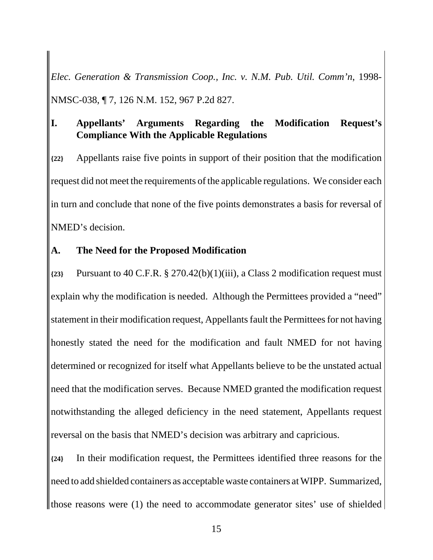*Elec. Generation & Transmission Coop., Inc. v. N.M. Pub. Util. Comm'n*, 1998- NMSC-038, ¶ 7, 126 N.M. 152, 967 P.2d 827.

# **I. Appellants' Arguments Regarding the Modification Request's Compliance With the Applicable Regulations**

**{22}** Appellants raise five points in support of their position that the modification request did not meet the requirements of the applicable regulations. We consider each in turn and conclude that none of the five points demonstrates a basis for reversal of NMED's decision.

## **A. The Need for the Proposed Modification**

**{23}** Pursuant to 40 C.F.R. § 270.42(b)(1)(iii), a Class 2 modification request must explain why the modification is needed. Although the Permittees provided a "need" statement in their modification request, Appellants fault the Permittees for not having honestly stated the need for the modification and fault NMED for not having determined or recognized for itself what Appellants believe to be the unstated actual need that the modification serves. Because NMED granted the modification request notwithstanding the alleged deficiency in the need statement, Appellants request reversal on the basis that NMED's decision was arbitrary and capricious.

**{24}** In their modification request, the Permittees identified three reasons for the need to add shielded containers as acceptable waste containers at WIPP. Summarized, those reasons were (1) the need to accommodate generator sites' use of shielded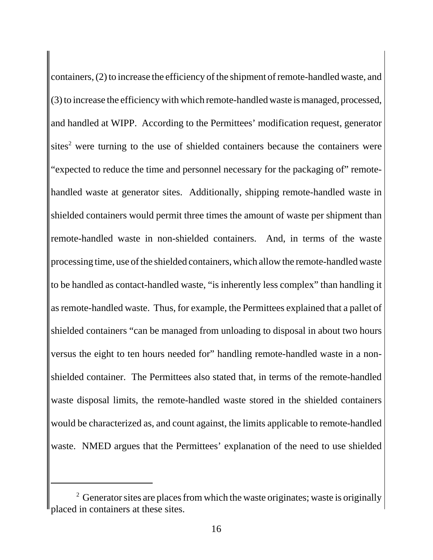containers, (2) to increase the efficiency of the shipment of remote-handled waste, and (3) to increase the efficiency with which remote-handled waste is managed, processed, and handled at WIPP. According to the Permittees' modification request, generator  $sites<sup>2</sup>$  were turning to the use of shielded containers because the containers were "expected to reduce the time and personnel necessary for the packaging of" remotehandled waste at generator sites. Additionally, shipping remote-handled waste in shielded containers would permit three times the amount of waste per shipment than remote-handled waste in non-shielded containers. And, in terms of the waste processing time, use of the shielded containers, which allow the remote-handled waste to be handled as contact-handled waste, "is inherently less complex" than handling it as remote-handled waste. Thus, for example, the Permittees explained that a pallet of shielded containers "can be managed from unloading to disposal in about two hours versus the eight to ten hours needed for" handling remote-handled waste in a nonshielded container. The Permittees also stated that, in terms of the remote-handled waste disposal limits, the remote-handled waste stored in the shielded containers would be characterized as, and count against, the limits applicable to remote-handled waste. NMED argues that the Permittees' explanation of the need to use shielded

<sup>&</sup>lt;sup>2</sup> Generator sites are places from which the waste originates; waste is originally placed in containers at these sites.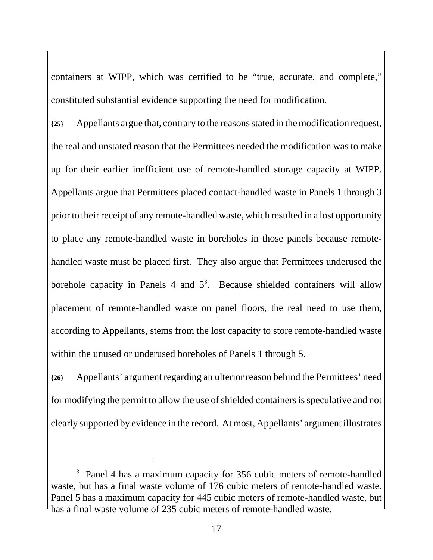containers at WIPP, which was certified to be "true, accurate, and complete," constituted substantial evidence supporting the need for modification.

**{25}** Appellants argue that, contrary to the reasons stated in the modification request, the real and unstated reason that the Permittees needed the modification was to make up for their earlier inefficient use of remote-handled storage capacity at WIPP. Appellants argue that Permittees placed contact-handled waste in Panels 1 through 3 prior to their receipt of any remote-handled waste, which resulted in a lost opportunity to place any remote-handled waste in boreholes in those panels because remotehandled waste must be placed first. They also argue that Permittees underused the borehole capacity in Panels 4 and  $5<sup>3</sup>$ . Because shielded containers will allow placement of remote-handled waste on panel floors, the real need to use them, according to Appellants, stems from the lost capacity to store remote-handled waste within the unused or underused boreholes of Panels 1 through 5.

**{26}** Appellants' argument regarding an ulterior reason behind the Permittees' need for modifying the permit to allow the use of shielded containers is speculative and not clearly supported by evidence in the record. At most, Appellants' argument illustrates

<sup>&</sup>lt;sup>3</sup> Panel 4 has a maximum capacity for 356 cubic meters of remote-handled waste, but has a final waste volume of 176 cubic meters of remote-handled waste. Panel 5 has a maximum capacity for 445 cubic meters of remote-handled waste, but has a final waste volume of 235 cubic meters of remote-handled waste.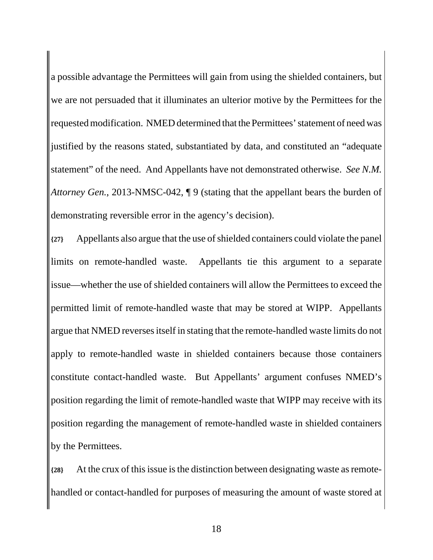a possible advantage the Permittees will gain from using the shielded containers, but we are not persuaded that it illuminates an ulterior motive by the Permittees for the requested modification. NMED determined that the Permittees' statement of need was justified by the reasons stated, substantiated by data, and constituted an "adequate statement" of the need. And Appellants have not demonstrated otherwise. *See N.M. Attorney Gen.*, 2013-NMSC-042, ¶ 9 (stating that the appellant bears the burden of demonstrating reversible error in the agency's decision).

**{27}** Appellants also argue that the use of shielded containers could violate the panel limits on remote-handled waste. Appellants tie this argument to a separate issue—whether the use of shielded containers will allow the Permittees to exceed the permitted limit of remote-handled waste that may be stored at WIPP. Appellants argue that NMED reverses itself in stating that the remote-handled waste limits do not apply to remote-handled waste in shielded containers because those containers constitute contact-handled waste. But Appellants' argument confuses NMED's position regarding the limit of remote-handled waste that WIPP may receive with its position regarding the management of remote-handled waste in shielded containers by the Permittees.

**{28}** At the crux of this issue is the distinction between designating waste as remotehandled or contact-handled for purposes of measuring the amount of waste stored at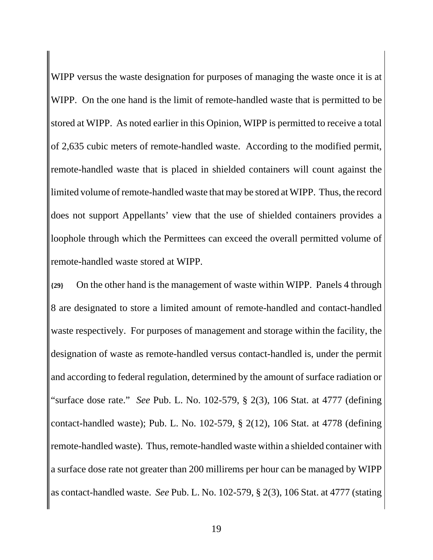WIPP versus the waste designation for purposes of managing the waste once it is at WIPP. On the one hand is the limit of remote-handled waste that is permitted to be stored at WIPP. As noted earlier in this Opinion, WIPP is permitted to receive a total of 2,635 cubic meters of remote-handled waste. According to the modified permit, remote-handled waste that is placed in shielded containers will count against the limited volume of remote-handled waste that may be stored at WIPP. Thus, the record does not support Appellants' view that the use of shielded containers provides a loophole through which the Permittees can exceed the overall permitted volume of remote-handled waste stored at WIPP.

**{29}** On the other hand is the management of waste within WIPP. Panels 4 through 8 are designated to store a limited amount of remote-handled and contact-handled waste respectively. For purposes of management and storage within the facility, the designation of waste as remote-handled versus contact-handled is, under the permit and according to federal regulation, determined by the amount of surface radiation or "surface dose rate." *See* Pub. L. No. 102-579, § 2(3), 106 Stat. at 4777 (defining contact-handled waste); Pub. L. No. 102-579, § 2(12), 106 Stat. at 4778 (defining remote-handled waste). Thus, remote-handled waste within a shielded container with a surface dose rate not greater than 200 millirems per hour can be managed by WIPP as contact-handled waste. *See* Pub. L. No. 102-579, § 2(3), 106 Stat. at 4777 (stating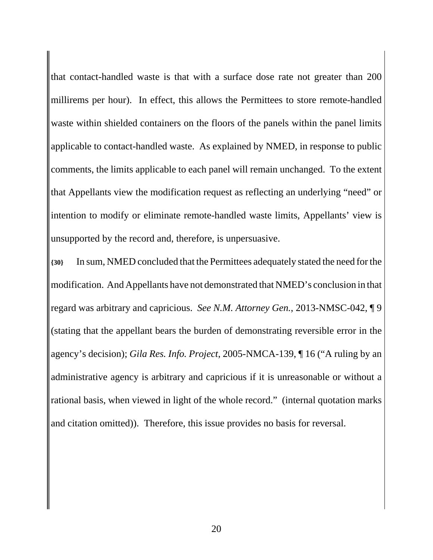that contact-handled waste is that with a surface dose rate not greater than 200 millirems per hour). In effect, this allows the Permittees to store remote-handled waste within shielded containers on the floors of the panels within the panel limits applicable to contact-handled waste. As explained by NMED, in response to public comments, the limits applicable to each panel will remain unchanged. To the extent that Appellants view the modification request as reflecting an underlying "need" or intention to modify or eliminate remote-handled waste limits, Appellants' view is unsupported by the record and, therefore, is unpersuasive.

**{30}** In sum, NMED concluded that the Permittees adequately stated the need for the modification. And Appellants have not demonstrated that NMED's conclusion in that regard was arbitrary and capricious. *See N.M. Attorney Gen.*, 2013-NMSC-042, ¶ 9 (stating that the appellant bears the burden of demonstrating reversible error in the agency's decision); *Gila Res. Info. Project*, 2005-NMCA-139, ¶ 16 ("A ruling by an administrative agency is arbitrary and capricious if it is unreasonable or without a rational basis, when viewed in light of the whole record." (internal quotation marks and citation omitted)). Therefore, this issue provides no basis for reversal.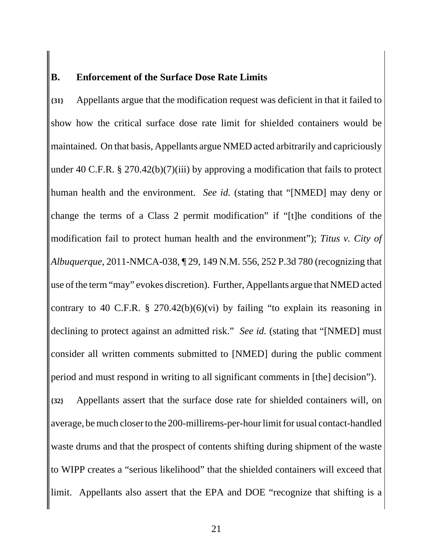#### **B. Enforcement of the Surface Dose Rate Limits**

**{31}** Appellants argue that the modification request was deficient in that it failed to show how the critical surface dose rate limit for shielded containers would be maintained. On that basis, Appellants argue NMED acted arbitrarily and capriciously under 40 C.F.R. § 270.42(b)(7)(iii) by approving a modification that fails to protect human health and the environment. *See id.* (stating that "[NMED] may deny or change the terms of a Class 2 permit modification" if "[t]he conditions of the modification fail to protect human health and the environment"); *Titus v. City of Albuquerque*, 2011-NMCA-038, ¶ 29, 149 N.M. 556, 252 P.3d 780 (recognizing that use of the term "may" evokes discretion). Further, Appellants argue that NMED acted contrary to 40 C.F.R.  $\S$  270.42(b)(6)(vi) by failing "to explain its reasoning in declining to protect against an admitted risk." *See id.* (stating that "[NMED] must consider all written comments submitted to [NMED] during the public comment period and must respond in writing to all significant comments in [the] decision"). **{32}** Appellants assert that the surface dose rate for shielded containers will, on average, be much closer to the 200-millirems-per-hour limit for usual contact-handled waste drums and that the prospect of contents shifting during shipment of the waste to WIPP creates a "serious likelihood" that the shielded containers will exceed that limit. Appellants also assert that the EPA and DOE "recognize that shifting is a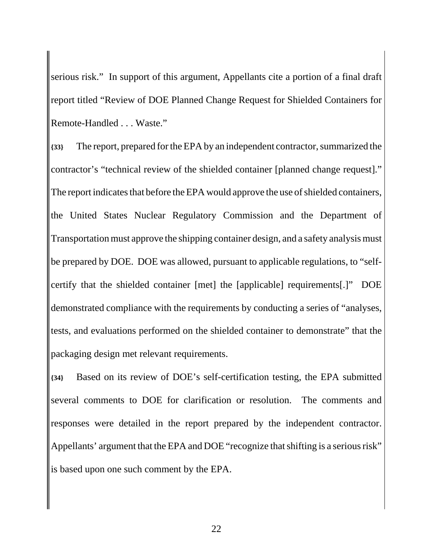serious risk." In support of this argument, Appellants cite a portion of a final draft report titled "Review of DOE Planned Change Request for Shielded Containers for Remote-Handled . . . Waste."

**{33}** The report, prepared for the EPA by an independent contractor, summarized the contractor's "technical review of the shielded container [planned change request]." The report indicates that before the EPA would approve the use of shielded containers, the United States Nuclear Regulatory Commission and the Department of Transportation must approve the shipping container design, and a safety analysis must be prepared by DOE. DOE was allowed, pursuant to applicable regulations, to "selfcertify that the shielded container [met] the [applicable] requirements[.]" DOE demonstrated compliance with the requirements by conducting a series of "analyses, tests, and evaluations performed on the shielded container to demonstrate" that the packaging design met relevant requirements.

**{34}** Based on its review of DOE's self-certification testing, the EPA submitted several comments to DOE for clarification or resolution. The comments and responses were detailed in the report prepared by the independent contractor. Appellants' argument that the EPA and DOE "recognize that shifting is a serious risk" is based upon one such comment by the EPA.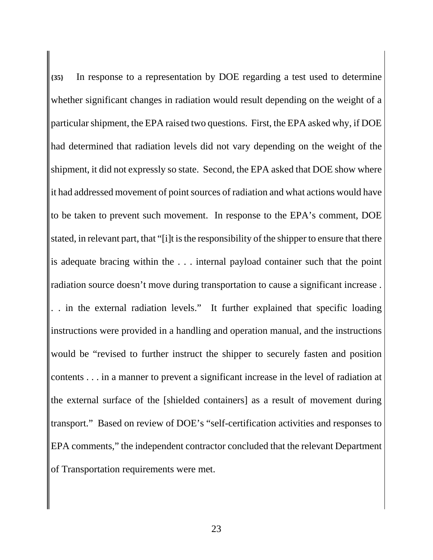**{35}** In response to a representation by DOE regarding a test used to determine whether significant changes in radiation would result depending on the weight of a particular shipment, the EPA raised two questions. First, the EPA asked why, if DOE had determined that radiation levels did not vary depending on the weight of the shipment, it did not expressly so state. Second, the EPA asked that DOE show where it had addressed movement of point sources of radiation and what actions would have to be taken to prevent such movement. In response to the EPA's comment, DOE stated, in relevant part, that "[i]t is the responsibility of the shipper to ensure that there is adequate bracing within the . . . internal payload container such that the point radiation source doesn't move during transportation to cause a significant increase . . . in the external radiation levels." It further explained that specific loading instructions were provided in a handling and operation manual, and the instructions would be "revised to further instruct the shipper to securely fasten and position contents . . . in a manner to prevent a significant increase in the level of radiation at the external surface of the [shielded containers] as a result of movement during transport." Based on review of DOE's "self-certification activities and responses to EPA comments," the independent contractor concluded that the relevant Department of Transportation requirements were met.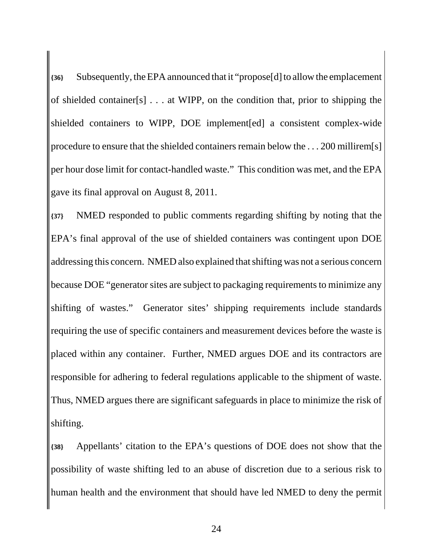**{36}** Subsequently, the EPA announced that it "propose[d] to allow the emplacement of shielded container[s] . . . at WIPP, on the condition that, prior to shipping the shielded containers to WIPP, DOE implement[ed] a consistent complex-wide procedure to ensure that the shielded containers remain below the . . . 200 millirem[s] per hour dose limit for contact-handled waste." This condition was met, and the EPA gave its final approval on August 8, 2011.

**{37}** NMED responded to public comments regarding shifting by noting that the EPA's final approval of the use of shielded containers was contingent upon DOE addressing this concern. NMED also explained that shifting was not a serious concern because DOE "generator sites are subject to packaging requirements to minimize any shifting of wastes." Generator sites' shipping requirements include standards requiring the use of specific containers and measurement devices before the waste is placed within any container. Further, NMED argues DOE and its contractors are responsible for adhering to federal regulations applicable to the shipment of waste. Thus, NMED argues there are significant safeguards in place to minimize the risk of shifting.

**{38}** Appellants' citation to the EPA's questions of DOE does not show that the possibility of waste shifting led to an abuse of discretion due to a serious risk to human health and the environment that should have led NMED to deny the permit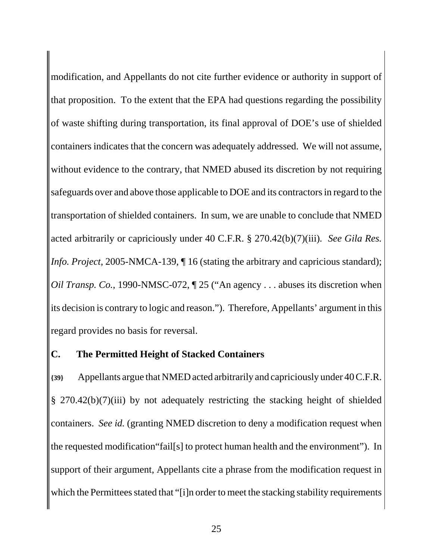modification, and Appellants do not cite further evidence or authority in support of that proposition. To the extent that the EPA had questions regarding the possibility of waste shifting during transportation, its final approval of DOE's use of shielded containers indicates that the concern was adequately addressed. We will not assume, without evidence to the contrary, that NMED abused its discretion by not requiring safeguards over and above those applicable to DOE and its contractors in regard to the transportation of shielded containers. In sum, we are unable to conclude that NMED acted arbitrarily or capriciously under 40 C.F.R. § 270.42(b)(7)(iii)*. See Gila Res. Info. Project*, 2005-NMCA-139,  $\P$  16 (stating the arbitrary and capricious standard); *Oil Transp. Co.*, 1990-NMSC-072,  $\P$  25 ("An agency . . . abuses its discretion when its decision is contrary to logic and reason."). Therefore, Appellants' argument in this regard provides no basis for reversal.

# **C. The Permitted Height of Stacked Containers**

**{39}** Appellants argue that NMED acted arbitrarily and capriciously under 40 C.F.R. § 270.42(b)(7)(iii) by not adequately restricting the stacking height of shielded containers. *See id.* (granting NMED discretion to deny a modification request when the requested modification"fail[s] to protect human health and the environment"). In support of their argument, Appellants cite a phrase from the modification request in which the Permittees stated that "[i]n order to meet the stacking stability requirements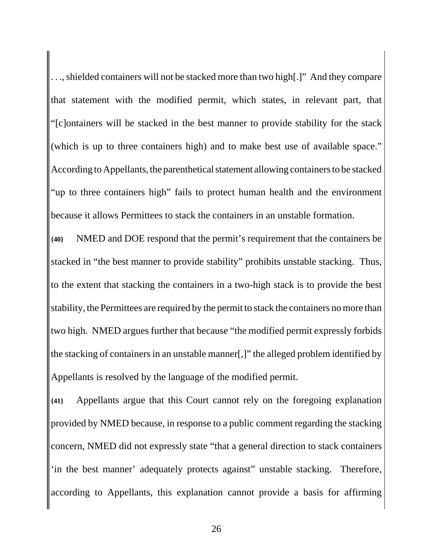. . ., shielded containers will not be stacked more than two high[.]" And they compare that statement with the modified permit, which states, in relevant part, that "[c]ontainers will be stacked in the best manner to provide stability for the stack (which is up to three containers high) and to make best use of available space." According to Appellants, the parenthetical statement allowing containers to be stacked "up to three containers high" fails to protect human health and the environment because it allows Permittees to stack the containers in an unstable formation.

**{40}** NMED and DOE respond that the permit's requirement that the containers be stacked in "the best manner to provide stability" prohibits unstable stacking. Thus, to the extent that stacking the containers in a two-high stack is to provide the best stability, the Permittees are required by the permit to stack the containers no more than two high. NMED argues further that because "the modified permit expressly forbids the stacking of containers in an unstable manner[,]" the alleged problem identified by Appellants is resolved by the language of the modified permit.

**{41}** Appellants argue that this Court cannot rely on the foregoing explanation provided by NMED because, in response to a public comment regarding the stacking concern, NMED did not expressly state "that a general direction to stack containers 'in the best manner' adequately protects against" unstable stacking. Therefore, according to Appellants, this explanation cannot provide a basis for affirming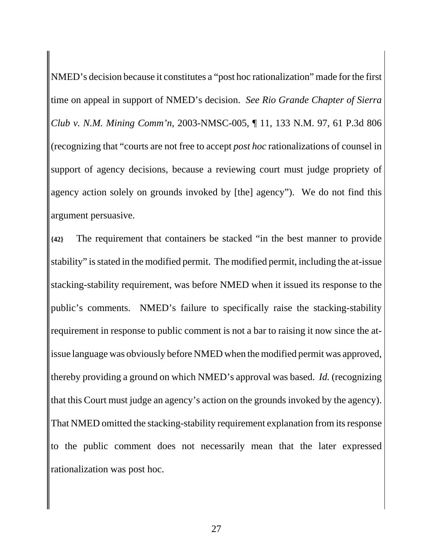NMED's decision because it constitutes a "post hoc rationalization" made for the first time on appeal in support of NMED's decision. *See Rio Grande Chapter of Sierra Club v. N.M. Mining Comm'n*, 2003-NMSC-005, ¶ 11, 133 N.M. 97, 61 P.3d 806 (recognizing that "courts are not free to accept *post hoc* rationalizations of counsel in support of agency decisions, because a reviewing court must judge propriety of agency action solely on grounds invoked by [the] agency"). We do not find this argument persuasive.

**{42}** The requirement that containers be stacked "in the best manner to provide stability" is stated in the modified permit. The modified permit, including the at-issue stacking-stability requirement, was before NMED when it issued its response to the public's comments. NMED's failure to specifically raise the stacking-stability requirement in response to public comment is not a bar to raising it now since the atissue language was obviously before NMED when the modified permit was approved, thereby providing a ground on which NMED's approval was based. *Id.* (recognizing that this Court must judge an agency's action on the grounds invoked by the agency). That NMED omitted the stacking-stability requirement explanation from its response to the public comment does not necessarily mean that the later expressed rationalization was post hoc.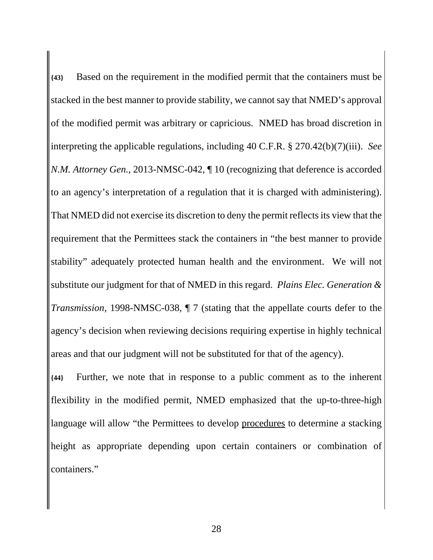**{43}** Based on the requirement in the modified permit that the containers must be stacked in the best manner to provide stability, we cannot say that NMED's approval of the modified permit was arbitrary or capricious. NMED has broad discretion in interpreting the applicable regulations, including 40 C.F.R. § 270.42(b)(7)(iii). *See N.M. Attorney Gen.*, 2013-NMSC-042,  $\P$  10 (recognizing that deference is accorded to an agency's interpretation of a regulation that it is charged with administering). That NMED did not exercise its discretion to deny the permit reflects its view that the requirement that the Permittees stack the containers in "the best manner to provide stability" adequately protected human health and the environment. We will not substitute our judgment for that of NMED in this regard. *Plains Elec. Generation & Transmission*, 1998-NMSC-038, ¶ 7 (stating that the appellate courts defer to the agency's decision when reviewing decisions requiring expertise in highly technical areas and that our judgment will not be substituted for that of the agency).

**{44}** Further, we note that in response to a public comment as to the inherent flexibility in the modified permit, NMED emphasized that the up-to-three-high language will allow "the Permittees to develop procedures to determine a stacking height as appropriate depending upon certain containers or combination of containers."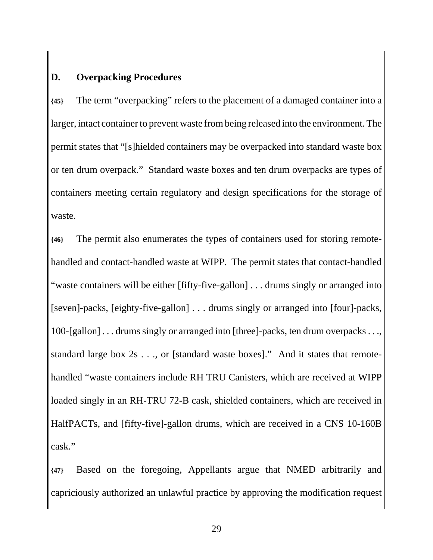# **D. Overpacking Procedures**

**{45}** The term "overpacking" refers to the placement of a damaged container into a larger, intact container to prevent waste from being released into the environment. The permit states that "[s]hielded containers may be overpacked into standard waste box or ten drum overpack." Standard waste boxes and ten drum overpacks are types of containers meeting certain regulatory and design specifications for the storage of waste.

**{46}** The permit also enumerates the types of containers used for storing remotehandled and contact-handled waste at WIPP. The permit states that contact-handled "waste containers will be either [fifty-five-gallon] . . . drums singly or arranged into [seven]-packs, [eighty-five-gallon] . . . drums singly or arranged into [four]-packs, 100-[gallon] . . . drums singly or arranged into [three]-packs, ten drum overpacks . . ., standard large box 2s . . ., or [standard waste boxes]." And it states that remotehandled "waste containers include RH TRU Canisters, which are received at WIPP loaded singly in an RH-TRU 72-B cask, shielded containers, which are received in HalfPACTs, and [fifty-five]-gallon drums, which are received in a CNS 10-160B cask."

**{47}** Based on the foregoing, Appellants argue that NMED arbitrarily and capriciously authorized an unlawful practice by approving the modification request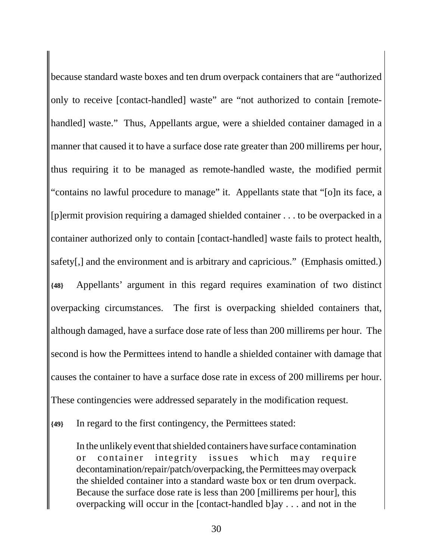because standard waste boxes and ten drum overpack containers that are "authorized only to receive [contact-handled] waste" are "not authorized to contain [remotehandled] waste." Thus, Appellants argue, were a shielded container damaged in a manner that caused it to have a surface dose rate greater than 200 millirems per hour, thus requiring it to be managed as remote-handled waste, the modified permit "contains no lawful procedure to manage" it. Appellants state that "[o]n its face, a [p]ermit provision requiring a damaged shielded container . . . to be overpacked in a container authorized only to contain [contact-handled] waste fails to protect health, safety[,] and the environment and is arbitrary and capricious." (Emphasis omitted.) **{48}** Appellants' argument in this regard requires examination of two distinct overpacking circumstances. The first is overpacking shielded containers that, although damaged, have a surface dose rate of less than 200 millirems per hour. The second is how the Permittees intend to handle a shielded container with damage that causes the container to have a surface dose rate in excess of 200 millirems per hour. These contingencies were addressed separately in the modification request.

**{49}** In regard to the first contingency, the Permittees stated:

In the unlikely event that shielded containers have surface contamination or container integrity issues which may require decontamination/repair/patch/overpacking, the Permittees may overpack the shielded container into a standard waste box or ten drum overpack. Because the surface dose rate is less than 200 [millirems per hour], this overpacking will occur in the [contact-handled b]ay . . . and not in the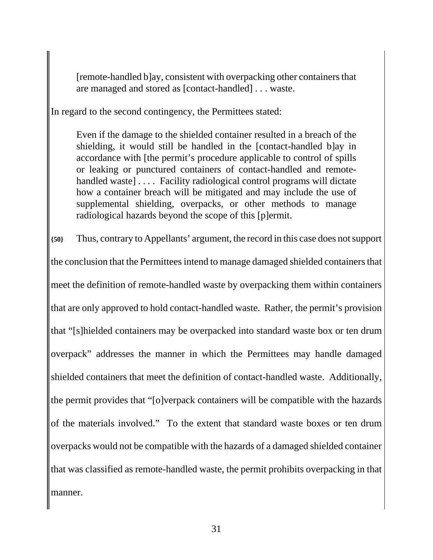[remote-handled b]ay, consistent with overpacking other containers that are managed and stored as [contact-handled] . . . waste.

In regard to the second contingency, the Permittees stated:

Even if the damage to the shielded container resulted in a breach of the shielding, it would still be handled in the [contact-handled b]ay in accordance with [the permit's procedure applicable to control of spills or leaking or punctured containers of contact-handled and remotehandled waste].... Facility radiological control programs will dictate how a container breach will be mitigated and may include the use of supplemental shielding, overpacks, or other methods to manage radiological hazards beyond the scope of this [p]ermit.

**{50}** Thus, contrary to Appellants' argument, the record in this case does not support the conclusion that the Permittees intend to manage damaged shielded containers that meet the definition of remote-handled waste by overpacking them within containers that are only approved to hold contact-handled waste. Rather, the permit's provision that "[s]hielded containers may be overpacked into standard waste box or ten drum overpack" addresses the manner in which the Permittees may handle damaged shielded containers that meet the definition of contact-handled waste. Additionally, the permit provides that "[o]verpack containers will be compatible with the hazards of the materials involved." To the extent that standard waste boxes or ten drum overpacks would not be compatible with the hazards of a damaged shielded container that was classified as remote-handled waste, the permit prohibits overpacking in that manner.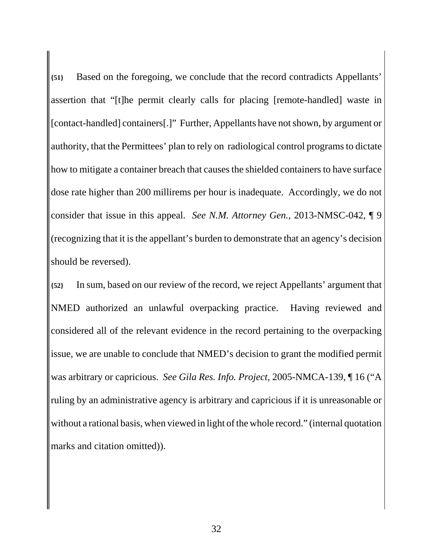**{51}** Based on the foregoing, we conclude that the record contradicts Appellants' assertion that "[t]he permit clearly calls for placing [remote-handled] waste in [contact-handled] containers[.]" Further, Appellants have not shown, by argument or authority, that the Permittees' plan to rely on radiological control programs to dictate how to mitigate a container breach that causes the shielded containers to have surface dose rate higher than 200 millirems per hour is inadequate. Accordingly, we do not consider that issue in this appeal. *See N.M. Attorney Gen.*, 2013-NMSC-042, ¶ 9 (recognizing that it is the appellant's burden to demonstrate that an agency's decision should be reversed).

**{52}** In sum, based on our review of the record, we reject Appellants' argument that NMED authorized an unlawful overpacking practice. Having reviewed and considered all of the relevant evidence in the record pertaining to the overpacking issue, we are unable to conclude that NMED's decision to grant the modified permit was arbitrary or capricious. *See Gila Res. Info. Project*, 2005-NMCA-139, ¶ 16 ("A ruling by an administrative agency is arbitrary and capricious if it is unreasonable or without a rational basis, when viewed in light of the whole record." (internal quotation marks and citation omitted)).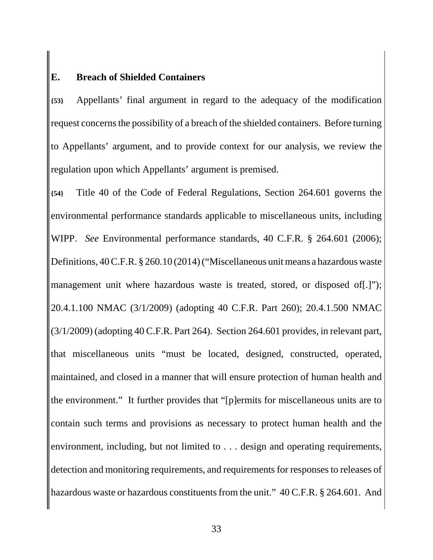#### **E. Breach of Shielded Containers**

**{53}** Appellants' final argument in regard to the adequacy of the modification request concerns the possibility of a breach of the shielded containers. Before turning to Appellants' argument, and to provide context for our analysis, we review the regulation upon which Appellants' argument is premised.

**{54}** Title 40 of the Code of Federal Regulations, Section 264.601 governs the environmental performance standards applicable to miscellaneous units, including WIPP. *See* Environmental performance standards, 40 C.F.R. § 264.601 (2006); Definitions, 40 C.F.R. § 260.10 (2014) ("Miscellaneous unit means a hazardous waste management unit where hazardous waste is treated, stored, or disposed of [.]"); 20.4.1.100 NMAC (3/1/2009) (adopting 40 C.F.R. Part 260); 20.4.1.500 NMAC (3/1/2009) (adopting 40 C.F.R. Part 264). Section 264.601 provides, in relevant part, that miscellaneous units "must be located, designed, constructed, operated, maintained, and closed in a manner that will ensure protection of human health and the environment." It further provides that "[p]ermits for miscellaneous units are to contain such terms and provisions as necessary to protect human health and the environment, including, but not limited to . . . design and operating requirements, detection and monitoring requirements, and requirements for responses to releases of hazardous waste or hazardous constituents from the unit." 40 C.F.R. § 264.601. And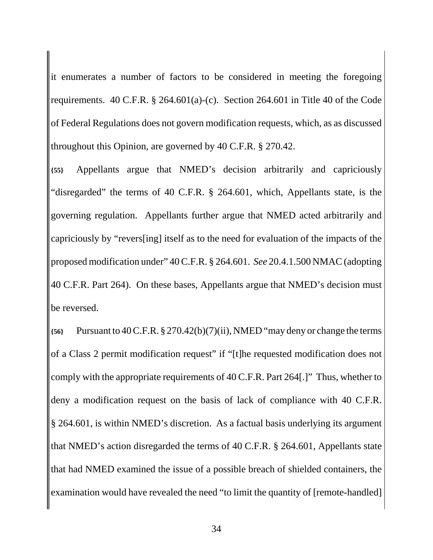it enumerates a number of factors to be considered in meeting the foregoing requirements. 40 C.F.R.  $\S$  264.601(a)-(c). Section 264.601 in Title 40 of the Code of Federal Regulations does not govern modification requests, which, as as discussed throughout this Opinion, are governed by 40 C.F.R. § 270.42.

**{55}** Appellants argue that NMED's decision arbitrarily and capriciously "disregarded" the terms of 40 C.F.R. § 264.601, which, Appellants state, is the governing regulation. Appellants further argue that NMED acted arbitrarily and capriciously by "revers[ing] itself as to the need for evaluation of the impacts of the proposed modification under" 40 C.F.R. § 264.601. *See* 20.4.1.500 NMAC (adopting 40 C.F.R. Part 264). On these bases, Appellants argue that NMED's decision must be reversed.

**{56}** Pursuant to 40 C.F.R. § 270.42(b)(7)(ii), NMED "may deny or change the terms of a Class 2 permit modification request" if "[t]he requested modification does not comply with the appropriate requirements of 40 C.F.R. Part 264[.]" Thus, whether to deny a modification request on the basis of lack of compliance with 40 C.F.R. § 264.601, is within NMED's discretion. As a factual basis underlying its argument that NMED's action disregarded the terms of 40 C.F.R. § 264.601, Appellants state that had NMED examined the issue of a possible breach of shielded containers, the examination would have revealed the need "to limit the quantity of [remote-handled]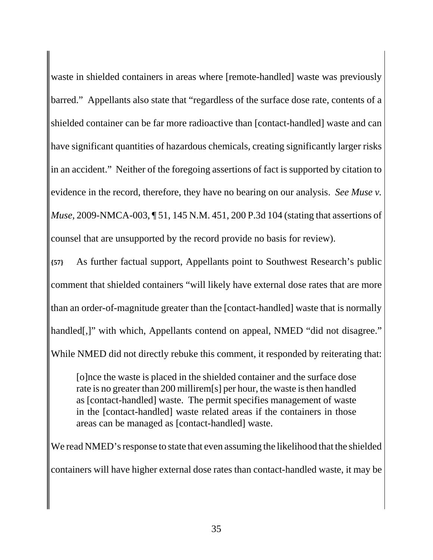waste in shielded containers in areas where [remote-handled] waste was previously barred." Appellants also state that "regardless of the surface dose rate, contents of a shielded container can be far more radioactive than [contact-handled] waste and can have significant quantities of hazardous chemicals, creating significantly larger risks in an accident." Neither of the foregoing assertions of fact is supported by citation to evidence in the record, therefore, they have no bearing on our analysis. *See Muse v. Muse*, 2009-NMCA-003, ¶ 51, 145 N.M. 451, 200 P.3d 104 (stating that assertions of counsel that are unsupported by the record provide no basis for review).

**{57}** As further factual support, Appellants point to Southwest Research's public comment that shielded containers "will likely have external dose rates that are more than an order-of-magnitude greater than the [contact-handled] waste that is normally handled[,]" with which, Appellants contend on appeal, NMED "did not disagree." While NMED did not directly rebuke this comment, it responded by reiterating that:

[o]nce the waste is placed in the shielded container and the surface dose rate is no greater than 200 millirem[s] per hour, the waste is then handled as [contact-handled] waste. The permit specifies management of waste in the [contact-handled] waste related areas if the containers in those areas can be managed as [contact-handled] waste.

We read NMED's response to state that even assuming the likelihood that the shielded containers will have higher external dose rates than contact-handled waste, it may be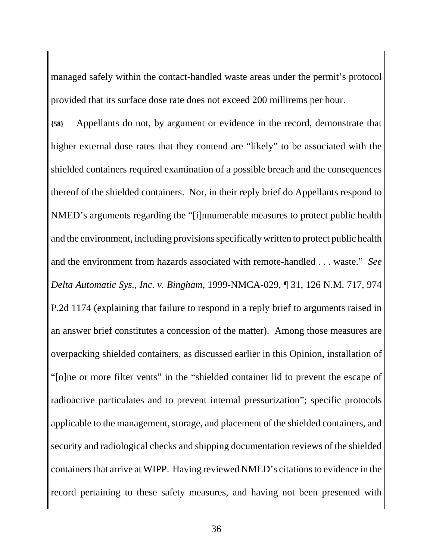managed safely within the contact-handled waste areas under the permit's protocol provided that its surface dose rate does not exceed 200 millirems per hour.

**{58}** Appellants do not, by argument or evidence in the record, demonstrate that higher external dose rates that they contend are "likely" to be associated with the shielded containers required examination of a possible breach and the consequences thereof of the shielded containers. Nor, in their reply brief do Appellants respond to NMED's arguments regarding the "[i]nnumerable measures to protect public health and the environment, including provisions specifically written to protect public health and the environment from hazards associated with remote-handled . . . waste." *See Delta Automatic Sys., Inc. v. Bingham*, 1999-NMCA-029, ¶ 31, 126 N.M. 717, 974 P.2d 1174 (explaining that failure to respond in a reply brief to arguments raised in an answer brief constitutes a concession of the matter). Among those measures are overpacking shielded containers, as discussed earlier in this Opinion, installation of "[o]ne or more filter vents" in the "shielded container lid to prevent the escape of radioactive particulates and to prevent internal pressurization"; specific protocols applicable to the management, storage, and placement of the shielded containers, and security and radiological checks and shipping documentation reviews of the shielded containers that arrive at WIPP. Having reviewed NMED's citations to evidence in the record pertaining to these safety measures, and having not been presented with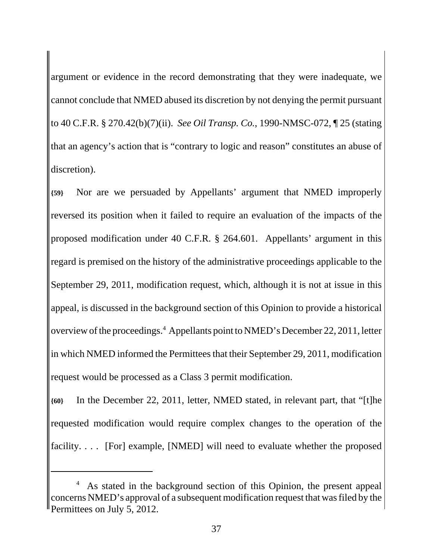argument or evidence in the record demonstrating that they were inadequate, we cannot conclude that NMED abused its discretion by not denying the permit pursuant to 40 C.F.R. § 270.42(b)(7)(ii). *See Oil Transp. Co.*, 1990-NMSC-072, ¶ 25 (stating that an agency's action that is "contrary to logic and reason" constitutes an abuse of discretion).

**{59}** Nor are we persuaded by Appellants' argument that NMED improperly reversed its position when it failed to require an evaluation of the impacts of the proposed modification under 40 C.F.R. § 264.601. Appellants' argument in this regard is premised on the history of the administrative proceedings applicable to the September 29, 2011, modification request, which, although it is not at issue in this appeal, is discussed in the background section of this Opinion to provide a historical overview of the proceedings.<sup>4</sup> Appellants point to NMED's December 22, 2011, letter in which NMED informed the Permittees that their September 29, 2011, modification request would be processed as a Class 3 permit modification.

**{60}** In the December 22, 2011, letter, NMED stated, in relevant part, that "[t]he requested modification would require complex changes to the operation of the facility. . . . [For] example, [NMED] will need to evaluate whether the proposed

<sup>4</sup> As stated in the background section of this Opinion, the present appeal concerns NMED's approval of a subsequent modification request that was filed by the Permittees on July 5, 2012.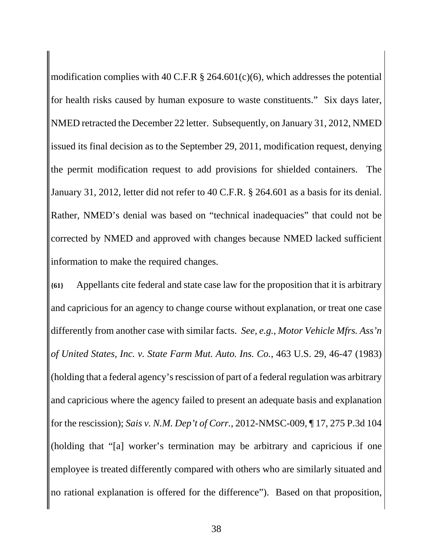modification complies with 40 C.F.R  $\S$  264.601(c)(6), which addresses the potential for health risks caused by human exposure to waste constituents." Six days later, NMED retracted the December 22 letter. Subsequently, on January 31, 2012, NMED issued its final decision as to the September 29, 2011, modification request, denying the permit modification request to add provisions for shielded containers. The January 31, 2012, letter did not refer to 40 C.F.R. § 264.601 as a basis for its denial. Rather, NMED's denial was based on "technical inadequacies" that could not be corrected by NMED and approved with changes because NMED lacked sufficient information to make the required changes.

**{61}** Appellants cite federal and state case law for the proposition that it is arbitrary and capricious for an agency to change course without explanation, or treat one case differently from another case with similar facts. *See, e.g.*, *Motor Vehicle Mfrs. Ass'n of United States, Inc. v. State Farm Mut. Auto. Ins. Co.*, 463 U.S. 29, 46-47 (1983) (holding that a federal agency's rescission of part of a federal regulation was arbitrary and capricious where the agency failed to present an adequate basis and explanation for the rescission); *Sais v. N.M. Dep't of Corr.*, 2012-NMSC-009, ¶ 17, 275 P.3d 104 (holding that "[a] worker's termination may be arbitrary and capricious if one employee is treated differently compared with others who are similarly situated and no rational explanation is offered for the difference"). Based on that proposition,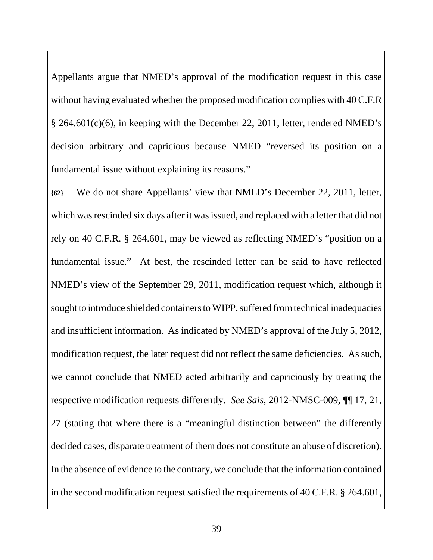Appellants argue that NMED's approval of the modification request in this case without having evaluated whether the proposed modification complies with 40 C.F.R § 264.601(c)(6), in keeping with the December 22, 2011, letter, rendered NMED's decision arbitrary and capricious because NMED "reversed its position on a fundamental issue without explaining its reasons."

**{62}** We do not share Appellants' view that NMED's December 22, 2011, letter, which was rescinded six days after it was issued, and replaced with a letter that did not rely on 40 C.F.R. § 264.601, may be viewed as reflecting NMED's "position on a fundamental issue." At best, the rescinded letter can be said to have reflected NMED's view of the September 29, 2011, modification request which, although it sought to introduce shielded containers to WIPP, suffered from technical inadequacies and insufficient information. As indicated by NMED's approval of the July 5, 2012, modification request, the later request did not reflect the same deficiencies. As such, we cannot conclude that NMED acted arbitrarily and capriciously by treating the respective modification requests differently. *See Sais*, 2012-NMSC-009, ¶¶ 17, 21, 27 (stating that where there is a "meaningful distinction between" the differently decided cases, disparate treatment of them does not constitute an abuse of discretion). In the absence of evidence to the contrary, we conclude that the information contained in the second modification request satisfied the requirements of 40 C.F.R. § 264.601,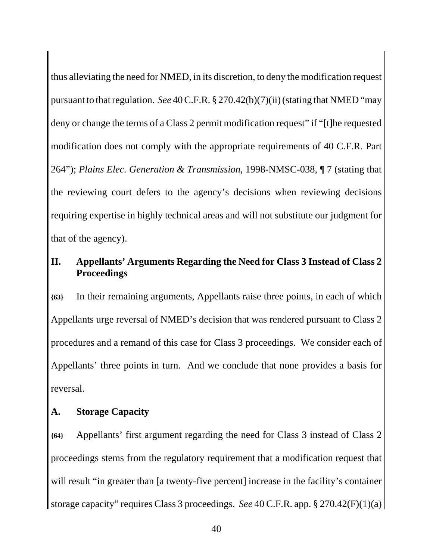thus alleviating the need for NMED, in its discretion, to deny the modification request pursuant to that regulation. *See* 40 C.F.R. § 270.42(b)(7)(ii) (stating that NMED "may deny or change the terms of a Class 2 permit modification request" if "[t]he requested modification does not comply with the appropriate requirements of 40 C.F.R. Part 264"); *Plains Elec. Generation & Transmission*, 1998-NMSC-038, ¶ 7 (stating that the reviewing court defers to the agency's decisions when reviewing decisions requiring expertise in highly technical areas and will not substitute our judgment for that of the agency).

# **II. Appellants' Arguments Regarding the Need for Class 3 Instead of Class 2 Proceedings**

**{63}** In their remaining arguments, Appellants raise three points, in each of which Appellants urge reversal of NMED's decision that was rendered pursuant to Class 2 procedures and a remand of this case for Class 3 proceedings. We consider each of Appellants' three points in turn. And we conclude that none provides a basis for reversal.

## **A. Storage Capacity**

**{64}** Appellants' first argument regarding the need for Class 3 instead of Class 2 proceedings stems from the regulatory requirement that a modification request that will result "in greater than [a twenty-five percent] increase in the facility's container storage capacity" requires Class 3 proceedings. *See* 40 C.F.R. app. § 270.42(F)(1)(a)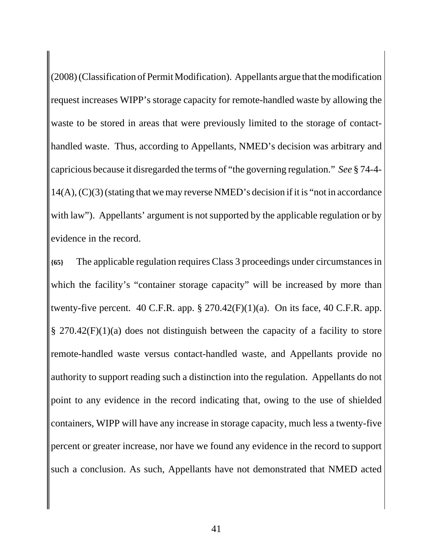(2008) (Classification of Permit Modification). Appellants argue that the modification request increases WIPP's storage capacity for remote-handled waste by allowing the waste to be stored in areas that were previously limited to the storage of contacthandled waste. Thus, according to Appellants, NMED's decision was arbitrary and capricious because it disregarded the terms of "the governing regulation." *See* § 74-4- 14(A), (C)(3) (stating that we may reverse NMED's decision if it is "not in accordance with law"). Appellants' argument is not supported by the applicable regulation or by evidence in the record.

**{65}** The applicable regulation requires Class 3 proceedings under circumstances in which the facility's "container storage capacity" will be increased by more than twenty-five percent. 40 C.F.R. app.  $\S 270.42(F)(1)(a)$ . On its face, 40 C.F.R. app. § 270.42(F)(1)(a) does not distinguish between the capacity of a facility to store remote-handled waste versus contact-handled waste, and Appellants provide no authority to support reading such a distinction into the regulation. Appellants do not point to any evidence in the record indicating that, owing to the use of shielded containers, WIPP will have any increase in storage capacity, much less a twenty-five percent or greater increase, nor have we found any evidence in the record to support such a conclusion. As such, Appellants have not demonstrated that NMED acted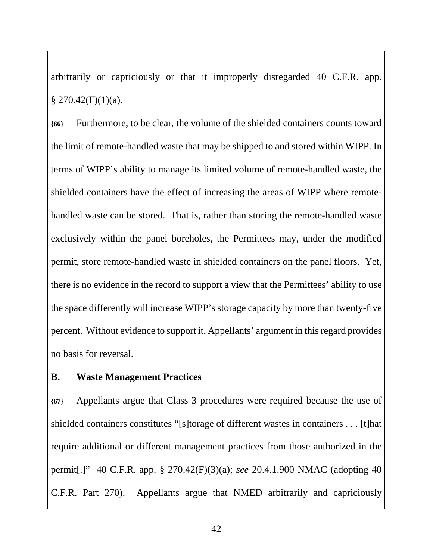arbitrarily or capriciously or that it improperly disregarded 40 C.F.R. app.  $$270.42(F)(1)(a).$ 

**{66}** Furthermore, to be clear, the volume of the shielded containers counts toward the limit of remote-handled waste that may be shipped to and stored within WIPP. In terms of WIPP's ability to manage its limited volume of remote-handled waste, the shielded containers have the effect of increasing the areas of WIPP where remotehandled waste can be stored. That is, rather than storing the remote-handled waste exclusively within the panel boreholes, the Permittees may, under the modified permit, store remote-handled waste in shielded containers on the panel floors. Yet, there is no evidence in the record to support a view that the Permittees' ability to use the space differently will increase WIPP's storage capacity by more than twenty-five percent. Without evidence to support it, Appellants' argument in this regard provides no basis for reversal.

#### **B. Waste Management Practices**

**{67}** Appellants argue that Class 3 procedures were required because the use of shielded containers constitutes "[s]torage of different wastes in containers . . . [t]hat require additional or different management practices from those authorized in the permit[.]" 40 C.F.R. app. § 270.42(F)(3)(a); *see* 20.4.1.900 NMAC (adopting 40 C.F.R. Part 270). Appellants argue that NMED arbitrarily and capriciously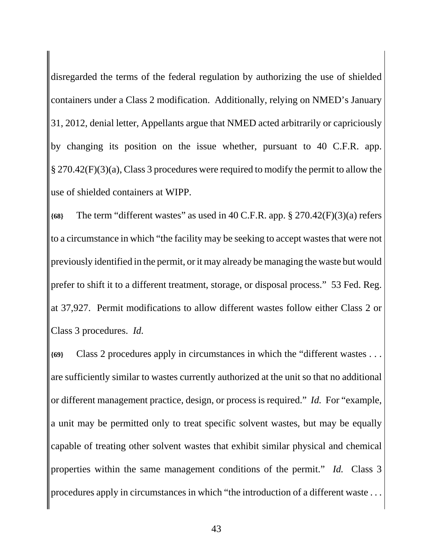disregarded the terms of the federal regulation by authorizing the use of shielded containers under a Class 2 modification. Additionally, relying on NMED's January 31, 2012, denial letter, Appellants argue that NMED acted arbitrarily or capriciously by changing its position on the issue whether, pursuant to 40 C.F.R. app. § 270.42(F)(3)(a), Class 3 procedures were required to modify the permit to allow the use of shielded containers at WIPP.

**{68}** The term "different wastes" as used in 40 C.F.R. app. § 270.42(F)(3)(a) refers to a circumstance in which "the facility may be seeking to accept wastes that were not previously identified in the permit, or it may already be managing the waste but would prefer to shift it to a different treatment, storage, or disposal process." 53 Fed. Reg. at 37,927. Permit modifications to allow different wastes follow either Class 2 or Class 3 procedures. *Id.*

**{69}** Class 2 procedures apply in circumstances in which the "different wastes . . . are sufficiently similar to wastes currently authorized at the unit so that no additional or different management practice, design, or process is required." *Id.* For "example, a unit may be permitted only to treat specific solvent wastes, but may be equally capable of treating other solvent wastes that exhibit similar physical and chemical properties within the same management conditions of the permit." *Id.* Class 3 procedures apply in circumstances in which "the introduction of a different waste . . .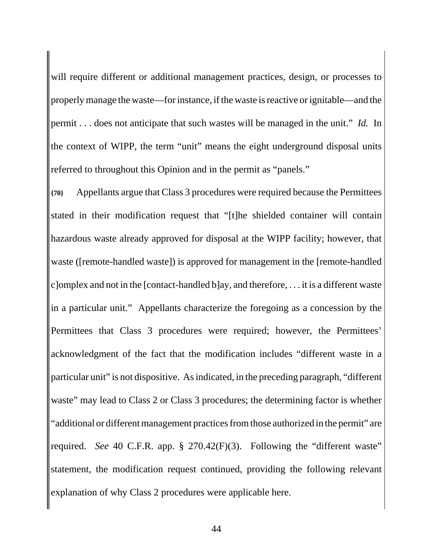will require different or additional management practices, design, or processes to properly manage the waste—for instance, if the waste is reactive or ignitable—and the permit . . . does not anticipate that such wastes will be managed in the unit." *Id.* In the context of WIPP, the term "unit" means the eight underground disposal units referred to throughout this Opinion and in the permit as "panels."

**{70}** Appellants argue that Class 3 procedures were required because the Permittees stated in their modification request that "[t]he shielded container will contain hazardous waste already approved for disposal at the WIPP facility; however, that waste ([remote-handled waste]) is approved for management in the [remote-handled c] omplex and not in the [contact-handled b]ay, and therefore,  $\dots$  it is a different waste in a particular unit." Appellants characterize the foregoing as a concession by the Permittees that Class 3 procedures were required; however, the Permittees' acknowledgment of the fact that the modification includes "different waste in a particular unit" is not dispositive. As indicated, in the preceding paragraph, "different waste" may lead to Class 2 or Class 3 procedures; the determining factor is whether "additional or different management practices from those authorized in the permit" are required. *See* 40 C.F.R. app. § 270.42(F)(3). Following the "different waste" statement, the modification request continued, providing the following relevant explanation of why Class 2 procedures were applicable here.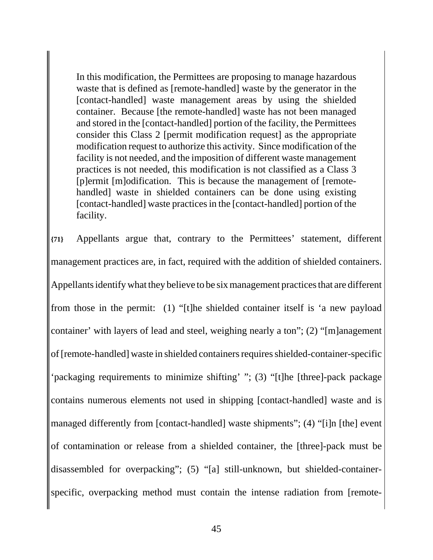In this modification, the Permittees are proposing to manage hazardous waste that is defined as [remote-handled] waste by the generator in the [contact-handled] waste management areas by using the shielded container. Because [the remote-handled] waste has not been managed and stored in the [contact-handled] portion of the facility, the Permittees consider this Class 2 [permit modification request] as the appropriate modification request to authorize this activity. Since modification of the facility is not needed, and the imposition of different waste management practices is not needed, this modification is not classified as a Class 3 [p]ermit [m]odification. This is because the management of [remotehandled] waste in shielded containers can be done using existing [contact-handled] waste practices in the [contact-handled] portion of the facility.

**{71}** Appellants argue that, contrary to the Permittees' statement, different management practices are, in fact, required with the addition of shielded containers. Appellants identify what they believe to be six management practices that are different from those in the permit: (1) "[t]he shielded container itself is 'a new payload container' with layers of lead and steel, weighing nearly a ton"; (2) "[m]anagement of [remote-handled] waste in shielded containers requires shielded-container-specific 'packaging requirements to minimize shifting' "; (3) "[t]he [three]-pack package contains numerous elements not used in shipping [contact-handled] waste and is managed differently from [contact-handled] waste shipments"; (4) "[i]n [the] event of contamination or release from a shielded container, the [three]-pack must be disassembled for overpacking"; (5) "[a] still-unknown, but shielded-containerspecific, overpacking method must contain the intense radiation from [remote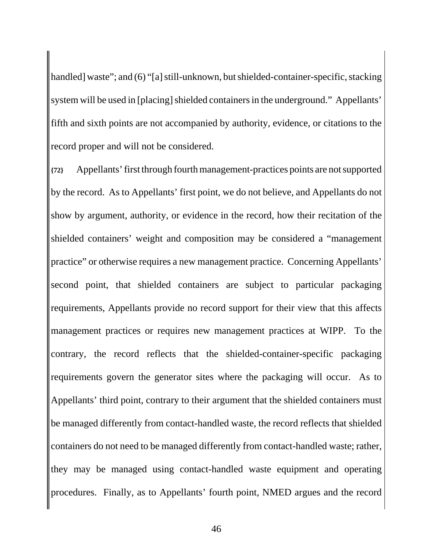handled] waste"; and (6) "[a] still-unknown, but shielded-container-specific, stacking system will be used in [placing] shielded containers in the underground." Appellants' fifth and sixth points are not accompanied by authority, evidence, or citations to the record proper and will not be considered.

**{72}** Appellants' first through fourth management-practices points are not supported by the record. As to Appellants' first point, we do not believe, and Appellants do not show by argument, authority, or evidence in the record, how their recitation of the shielded containers' weight and composition may be considered a "management practice" or otherwise requires a new management practice. Concerning Appellants' second point, that shielded containers are subject to particular packaging requirements, Appellants provide no record support for their view that this affects management practices or requires new management practices at WIPP. To the contrary, the record reflects that the shielded-container-specific packaging requirements govern the generator sites where the packaging will occur. As to Appellants' third point, contrary to their argument that the shielded containers must be managed differently from contact-handled waste, the record reflects that shielded containers do not need to be managed differently from contact-handled waste; rather, they may be managed using contact-handled waste equipment and operating procedures. Finally, as to Appellants' fourth point, NMED argues and the record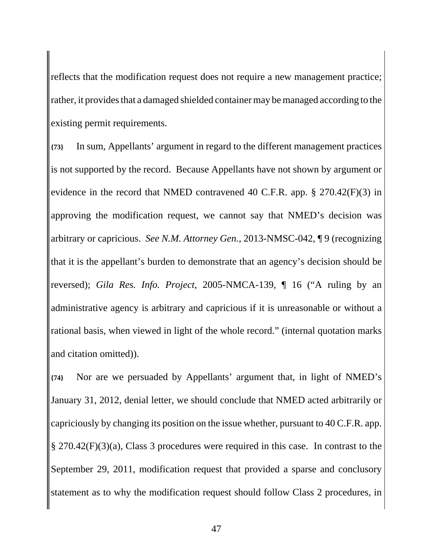reflects that the modification request does not require a new management practice; rather, it provides that a damaged shielded container may be managed according to the existing permit requirements.

**{73}** In sum, Appellants' argument in regard to the different management practices is not supported by the record. Because Appellants have not shown by argument or evidence in the record that NMED contravened 40 C.F.R. app. § 270.42(F)(3) in approving the modification request, we cannot say that NMED's decision was arbitrary or capricious. *See N.M. Attorney Gen.*, 2013-NMSC-042, ¶ 9 (recognizing that it is the appellant's burden to demonstrate that an agency's decision should be reversed); *Gila Res. Info. Project*, 2005-NMCA-139, ¶ 16 ("A ruling by an administrative agency is arbitrary and capricious if it is unreasonable or without a rational basis, when viewed in light of the whole record." (internal quotation marks and citation omitted)).

**{74}** Nor are we persuaded by Appellants' argument that, in light of NMED's January 31, 2012, denial letter, we should conclude that NMED acted arbitrarily or capriciously by changing its position on the issue whether, pursuant to 40 C.F.R. app. § 270.42(F)(3)(a), Class 3 procedures were required in this case. In contrast to the September 29, 2011, modification request that provided a sparse and conclusory statement as to why the modification request should follow Class 2 procedures, in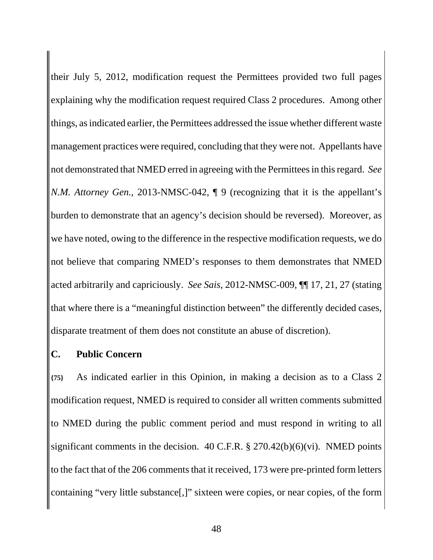their July 5, 2012, modification request the Permittees provided two full pages explaining why the modification request required Class 2 procedures. Among other things, as indicated earlier, the Permittees addressed the issue whether different waste management practices were required, concluding that they were not. Appellants have not demonstrated that NMED erred in agreeing with the Permittees in this regard. *See N.M. Attorney Gen.*, 2013-NMSC-042,  $\parallel$  9 (recognizing that it is the appellant's burden to demonstrate that an agency's decision should be reversed). Moreover, as we have noted, owing to the difference in the respective modification requests, we do not believe that comparing NMED's responses to them demonstrates that NMED acted arbitrarily and capriciously. *See Sais*, 2012-NMSC-009, ¶¶ 17, 21, 27 (stating that where there is a "meaningful distinction between" the differently decided cases, disparate treatment of them does not constitute an abuse of discretion).

## **C. Public Concern**

**{75}** As indicated earlier in this Opinion, in making a decision as to a Class 2 modification request, NMED is required to consider all written comments submitted to NMED during the public comment period and must respond in writing to all significant comments in the decision. 40 C.F.R. § 270.42(b)(6)(vi). NMED points to the fact that of the 206 comments that it received, 173 were pre-printed form letters containing "very little substance[,]" sixteen were copies, or near copies, of the form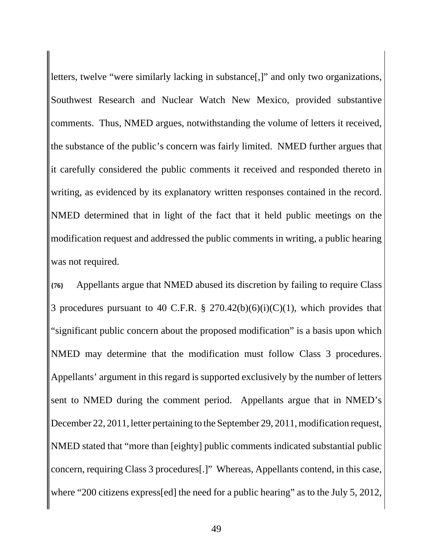letters, twelve "were similarly lacking in substance[,]" and only two organizations, Southwest Research and Nuclear Watch New Mexico, provided substantive comments. Thus, NMED argues, notwithstanding the volume of letters it received, the substance of the public's concern was fairly limited. NMED further argues that it carefully considered the public comments it received and responded thereto in writing, as evidenced by its explanatory written responses contained in the record. NMED determined that in light of the fact that it held public meetings on the modification request and addressed the public comments in writing, a public hearing was not required.

**{76}** Appellants argue that NMED abused its discretion by failing to require Class 3 procedures pursuant to 40 C.F.R. § 270.42(b)(6)(i)(C)(1), which provides that "significant public concern about the proposed modification" is a basis upon which NMED may determine that the modification must follow Class 3 procedures. Appellants' argument in this regard is supported exclusively by the number of letters sent to NMED during the comment period. Appellants argue that in NMED's December 22, 2011, letter pertaining to the September 29, 2011, modification request, NMED stated that "more than [eighty] public comments indicated substantial public concern, requiring Class 3 procedures[.]" Whereas, Appellants contend, in this case, where "200 citizens express[ed] the need for a public hearing" as to the July 5, 2012,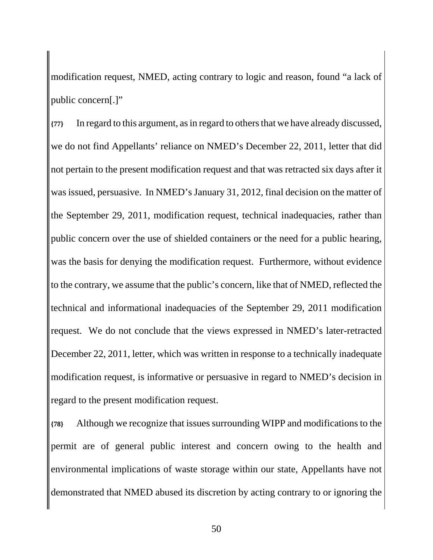modification request, NMED, acting contrary to logic and reason, found "a lack of public concern[.]"

**{77}** In regard to this argument, as in regard to others that we have already discussed, we do not find Appellants' reliance on NMED's December 22, 2011, letter that did not pertain to the present modification request and that was retracted six days after it was issued, persuasive. In NMED's January 31, 2012, final decision on the matter of the September 29, 2011, modification request, technical inadequacies, rather than public concern over the use of shielded containers or the need for a public hearing, was the basis for denying the modification request. Furthermore, without evidence to the contrary, we assume that the public's concern, like that of NMED, reflected the technical and informational inadequacies of the September 29, 2011 modification request. We do not conclude that the views expressed in NMED's later-retracted December 22, 2011, letter, which was written in response to a technically inadequate modification request, is informative or persuasive in regard to NMED's decision in regard to the present modification request.

**{78}** Although we recognize that issues surrounding WIPP and modifications to the permit are of general public interest and concern owing to the health and environmental implications of waste storage within our state, Appellants have not demonstrated that NMED abused its discretion by acting contrary to or ignoring the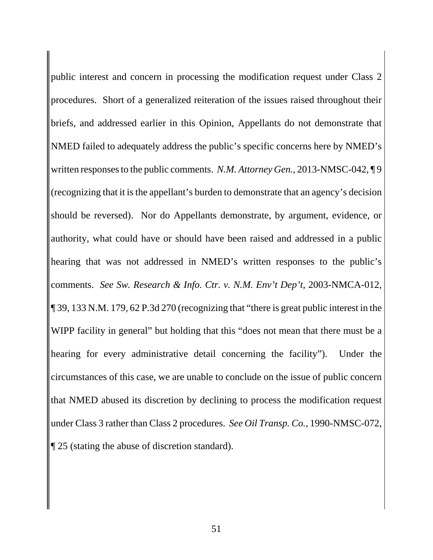public interest and concern in processing the modification request under Class 2 procedures. Short of a generalized reiteration of the issues raised throughout their briefs, and addressed earlier in this Opinion, Appellants do not demonstrate that NMED failed to adequately address the public's specific concerns here by NMED's written responses to the public comments. *N.M. Attorney Gen.*, 2013-NMSC-042, ¶ 9 (recognizing that it is the appellant's burden to demonstrate that an agency's decision should be reversed). Nor do Appellants demonstrate, by argument, evidence, or authority, what could have or should have been raised and addressed in a public hearing that was not addressed in NMED's written responses to the public's comments. *See Sw. Research & Info. Ctr. v. N.M. Env't Dep't*, 2003-NMCA-012, ¶ 39, 133 N.M. 179, 62 P.3d 270 (recognizing that "there is great public interest in the WIPP facility in general" but holding that this "does not mean that there must be a hearing for every administrative detail concerning the facility"). Under the circumstances of this case, we are unable to conclude on the issue of public concern that NMED abused its discretion by declining to process the modification request under Class 3 rather than Class 2 procedures. *See Oil Transp. Co.*, 1990-NMSC-072, ¶ 25 (stating the abuse of discretion standard).